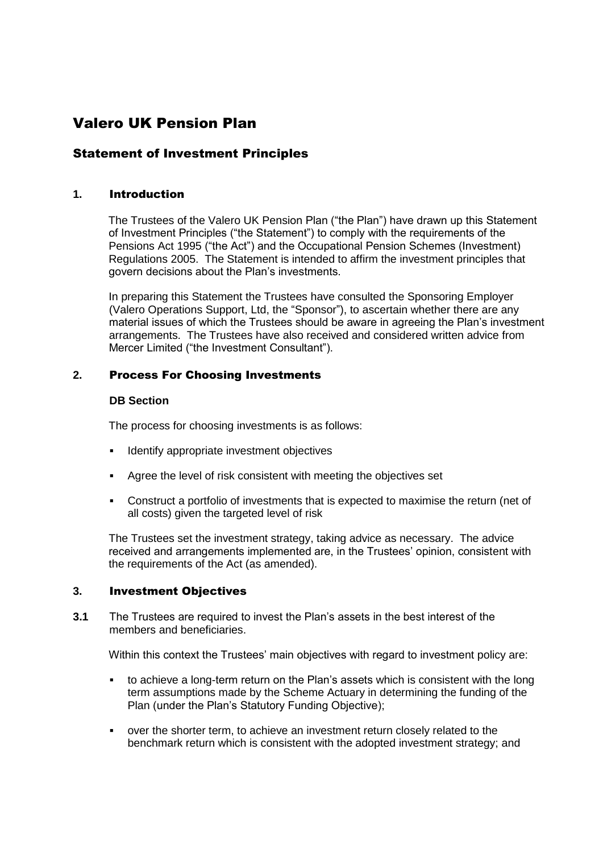# Valero UK Pension Plan

# Statement of Investment Principles

# **1.** Introduction

The Trustees of the Valero UK Pension Plan ("the Plan") have drawn up this Statement of Investment Principles ("the Statement") to comply with the requirements of the Pensions Act 1995 ("the Act") and the Occupational Pension Schemes (Investment) Regulations 2005. The Statement is intended to affirm the investment principles that govern decisions about the Plan's investments.

In preparing this Statement the Trustees have consulted the Sponsoring Employer (Valero Operations Support, Ltd, the "Sponsor"), to ascertain whether there are any material issues of which the Trustees should be aware in agreeing the Plan's investment arrangements. The Trustees have also received and considered written advice from Mercer Limited ("the Investment Consultant").

# **2.** Process For Choosing Investments

## **DB Section**

The process for choosing investments is as follows:

- Identify appropriate investment objectives
- Agree the level of risk consistent with meeting the objectives set
- Construct a portfolio of investments that is expected to maximise the return (net of all costs) given the targeted level of risk

The Trustees set the investment strategy, taking advice as necessary. The advice received and arrangements implemented are, in the Trustees' opinion, consistent with the requirements of the Act (as amended).

# **3.** Investment Objectives

**3.1** The Trustees are required to invest the Plan's assets in the best interest of the members and beneficiaries.

Within this context the Trustees' main objectives with regard to investment policy are:

- to achieve a long-term return on the Plan's assets which is consistent with the long term assumptions made by the Scheme Actuary in determining the funding of the Plan (under the Plan's Statutory Funding Objective);
- over the shorter term, to achieve an investment return closely related to the benchmark return which is consistent with the adopted investment strategy; and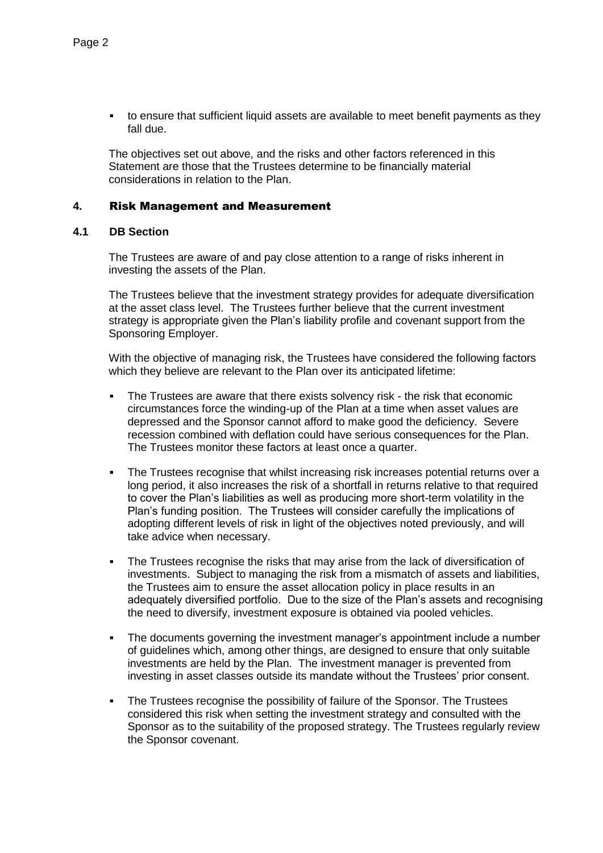to ensure that sufficient liquid assets are available to meet benefit payments as they fall due.

The objectives set out above, and the risks and other factors referenced in this Statement are those that the Trustees determine to be financially material considerations in relation to the Plan.

## **4.** Risk Management and Measurement

# **4.1 DB Section**

The Trustees are aware of and pay close attention to a range of risks inherent in investing the assets of the Plan.

The Trustees believe that the investment strategy provides for adequate diversification at the asset class level. The Trustees further believe that the current investment strategy is appropriate given the Plan's liability profile and covenant support from the Sponsoring Employer.

With the objective of managing risk, the Trustees have considered the following factors which they believe are relevant to the Plan over its anticipated lifetime:

- The Trustees are aware that there exists solvency risk the risk that economic circumstances force the winding-up of the Plan at a time when asset values are depressed and the Sponsor cannot afford to make good the deficiency. Severe recession combined with deflation could have serious consequences for the Plan. The Trustees monitor these factors at least once a quarter.
- The Trustees recognise that whilst increasing risk increases potential returns over a long period, it also increases the risk of a shortfall in returns relative to that required to cover the Plan's liabilities as well as producing more short-term volatility in the Plan's funding position. The Trustees will consider carefully the implications of adopting different levels of risk in light of the objectives noted previously, and will take advice when necessary.
- The Trustees recognise the risks that may arise from the lack of diversification of investments. Subject to managing the risk from a mismatch of assets and liabilities, the Trustees aim to ensure the asset allocation policy in place results in an adequately diversified portfolio. Due to the size of the Plan's assets and recognising the need to diversify, investment exposure is obtained via pooled vehicles.
- The documents governing the investment manager's appointment include a number of guidelines which, among other things, are designed to ensure that only suitable investments are held by the Plan. The investment manager is prevented from investing in asset classes outside its mandate without the Trustees' prior consent.
- The Trustees recognise the possibility of failure of the Sponsor. The Trustees considered this risk when setting the investment strategy and consulted with the Sponsor as to the suitability of the proposed strategy. The Trustees regularly review the Sponsor covenant.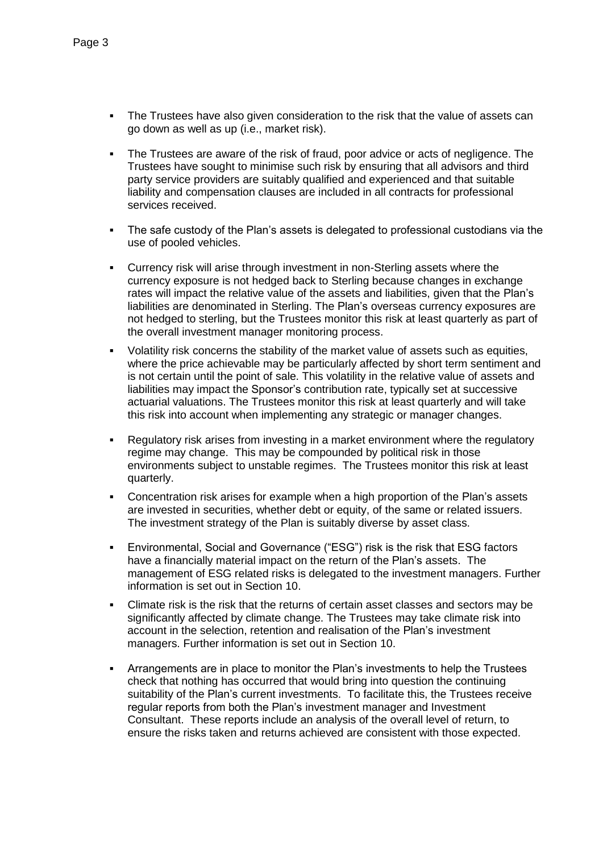- The Trustees have also given consideration to the risk that the value of assets can go down as well as up (i.e., market risk).
- The Trustees are aware of the risk of fraud, poor advice or acts of negligence. The Trustees have sought to minimise such risk by ensuring that all advisors and third party service providers are suitably qualified and experienced and that suitable liability and compensation clauses are included in all contracts for professional services received.
- The safe custody of the Plan's assets is delegated to professional custodians via the use of pooled vehicles.
- Currency risk will arise through investment in non-Sterling assets where the currency exposure is not hedged back to Sterling because changes in exchange rates will impact the relative value of the assets and liabilities, given that the Plan's liabilities are denominated in Sterling. The Plan's overseas currency exposures are not hedged to sterling, but the Trustees monitor this risk at least quarterly as part of the overall investment manager monitoring process.
- Volatility risk concerns the stability of the market value of assets such as equities, where the price achievable may be particularly affected by short term sentiment and is not certain until the point of sale. This volatility in the relative value of assets and liabilities may impact the Sponsor's contribution rate, typically set at successive actuarial valuations. The Trustees monitor this risk at least quarterly and will take this risk into account when implementing any strategic or manager changes.
- Regulatory risk arises from investing in a market environment where the regulatory regime may change. This may be compounded by political risk in those environments subject to unstable regimes. The Trustees monitor this risk at least quarterly.
- Concentration risk arises for example when a high proportion of the Plan's assets are invested in securities, whether debt or equity, of the same or related issuers. The investment strategy of the Plan is suitably diverse by asset class.
- Environmental, Social and Governance ("ESG") risk is the risk that ESG factors have a financially material impact on the return of the Plan's assets. The management of ESG related risks is delegated to the investment managers. Further information is set out in Section 10.
- Climate risk is the risk that the returns of certain asset classes and sectors may be significantly affected by climate change. The Trustees may take climate risk into account in the selection, retention and realisation of the Plan's investment managers. Further information is set out in Section 10.
- Arrangements are in place to monitor the Plan's investments to help the Trustees check that nothing has occurred that would bring into question the continuing suitability of the Plan's current investments. To facilitate this, the Trustees receive regular reports from both the Plan's investment manager and Investment Consultant. These reports include an analysis of the overall level of return, to ensure the risks taken and returns achieved are consistent with those expected.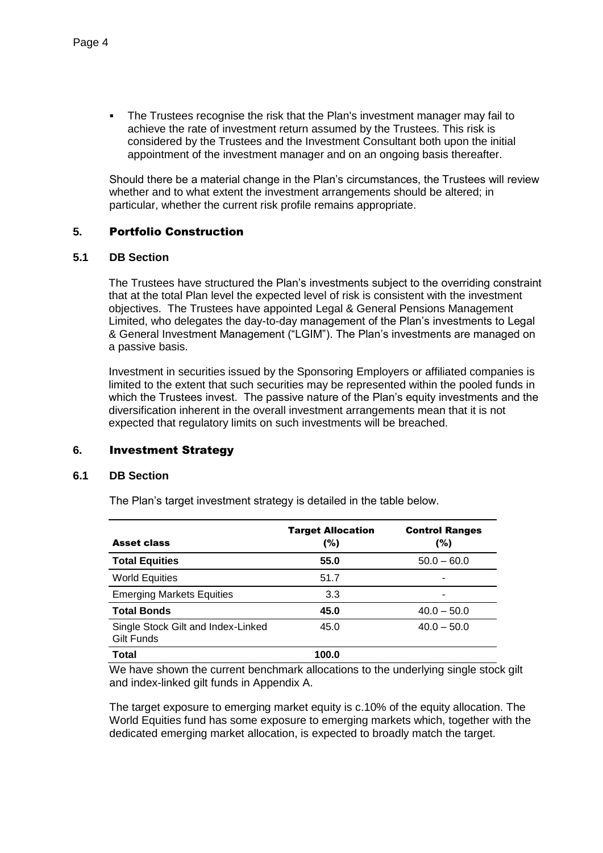The Trustees recognise the risk that the Plan's investment manager may fail to achieve the rate of investment return assumed by the Trustees. This risk is considered by the Trustees and the Investment Consultant both upon the initial appointment of the investment manager and on an ongoing basis thereafter.

Should there be a material change in the Plan's circumstances, the Trustees will review whether and to what extent the investment arrangements should be altered; in particular, whether the current risk profile remains appropriate.

# **5.** Portfolio Construction

## **5.1 DB Section**

The Trustees have structured the Plan's investments subject to the overriding constraint that at the total Plan level the expected level of risk is consistent with the investment objectives. The Trustees have appointed Legal & General Pensions Management Limited, who delegates the day-to-day management of the Plan's investments to Legal & General Investment Management ("LGIM"). The Plan's investments are managed on a passive basis.

Investment in securities issued by the Sponsoring Employers or affiliated companies is limited to the extent that such securities may be represented within the pooled funds in which the Trustees invest. The passive nature of the Plan's equity investments and the diversification inherent in the overall investment arrangements mean that it is not expected that regulatory limits on such investments will be breached.

# **6.** Investment Strategy

#### **6.1 DB Section**

The Plan's target investment strategy is detailed in the table below.

| <b>Asset class</b>                               | <b>Target Allocation</b><br>(%) | <b>Control Ranges</b><br>(%) |
|--------------------------------------------------|---------------------------------|------------------------------|
| <b>Total Equities</b>                            | 55.0                            | $50.0 - 60.0$                |
| <b>World Equities</b>                            | 51.7                            |                              |
| <b>Emerging Markets Equities</b>                 | 3.3                             |                              |
| <b>Total Bonds</b>                               | 45.0                            | $40.0 - 50.0$                |
| Single Stock Gilt and Index-Linked<br>Gilt Funds | 45.0                            | $40.0 - 50.0$                |
| Total                                            | 100.0                           |                              |

We have shown the current benchmark allocations to the underlying single stock gilt and index-linked gilt funds in Appendix A.

The target exposure to emerging market equity is c.10% of the equity allocation. The World Equities fund has some exposure to emerging markets which, together with the dedicated emerging market allocation, is expected to broadly match the target.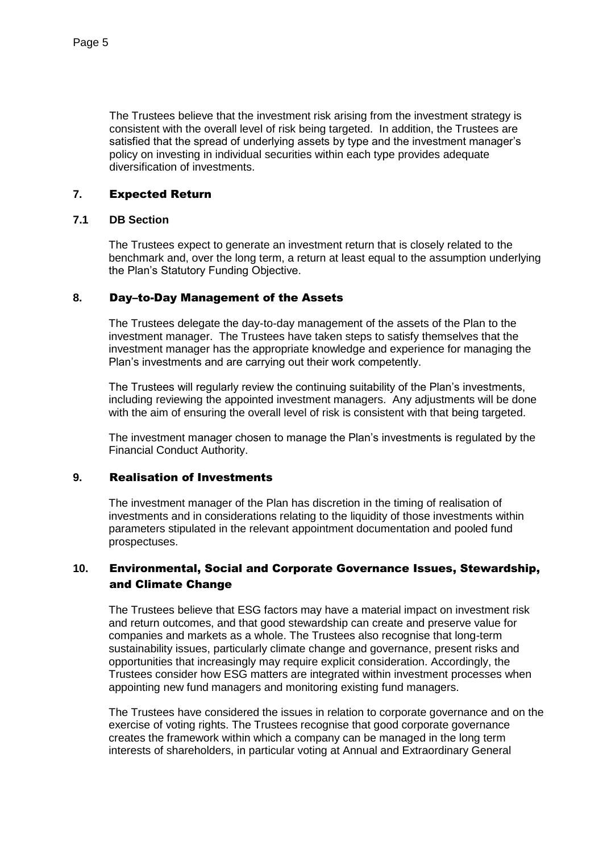The Trustees believe that the investment risk arising from the investment strategy is consistent with the overall level of risk being targeted. In addition, the Trustees are satisfied that the spread of underlying assets by type and the investment manager's policy on investing in individual securities within each type provides adequate diversification of investments.

# **7.** Expected Return

# **7.1 DB Section**

The Trustees expect to generate an investment return that is closely related to the benchmark and, over the long term, a return at least equal to the assumption underlying the Plan's Statutory Funding Objective.

# **8.** Day–to-Day Management of the Assets

The Trustees delegate the day-to-day management of the assets of the Plan to the investment manager. The Trustees have taken steps to satisfy themselves that the investment manager has the appropriate knowledge and experience for managing the Plan's investments and are carrying out their work competently.

The Trustees will regularly review the continuing suitability of the Plan's investments, including reviewing the appointed investment managers. Any adjustments will be done with the aim of ensuring the overall level of risk is consistent with that being targeted.

The investment manager chosen to manage the Plan's investments is regulated by the Financial Conduct Authority.

# **9.** Realisation of Investments

The investment manager of the Plan has discretion in the timing of realisation of investments and in considerations relating to the liquidity of those investments within parameters stipulated in the relevant appointment documentation and pooled fund prospectuses.

# **10.** Environmental, Social and Corporate Governance Issues, Stewardship, and Climate Change

The Trustees believe that ESG factors may have a material impact on investment risk and return outcomes, and that good stewardship can create and preserve value for companies and markets as a whole. The Trustees also recognise that long-term sustainability issues, particularly climate change and governance, present risks and opportunities that increasingly may require explicit consideration. Accordingly, the Trustees consider how ESG matters are integrated within investment processes when appointing new fund managers and monitoring existing fund managers.

The Trustees have considered the issues in relation to corporate governance and on the exercise of voting rights. The Trustees recognise that good corporate governance creates the framework within which a company can be managed in the long term interests of shareholders, in particular voting at Annual and Extraordinary General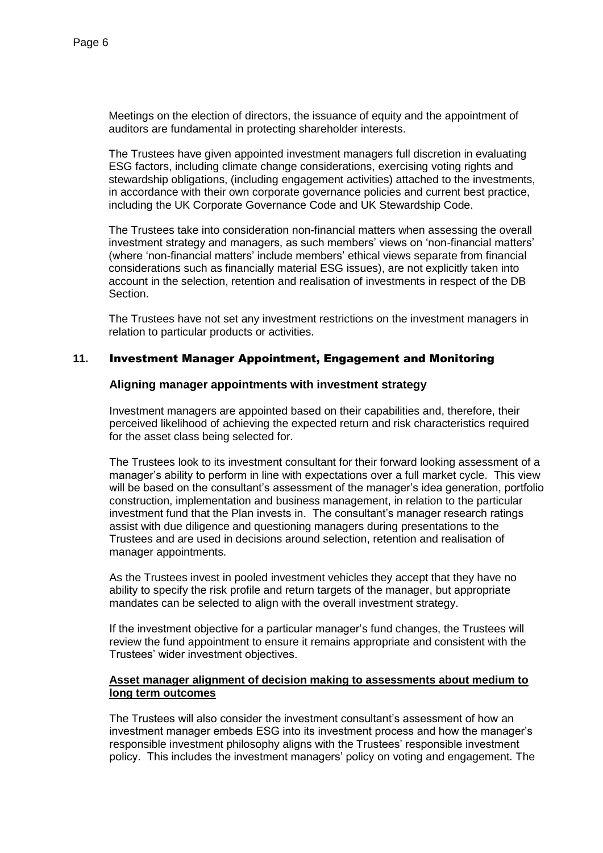Meetings on the election of directors, the issuance of equity and the appointment of auditors are fundamental in protecting shareholder interests.

The Trustees have given appointed investment managers full discretion in evaluating ESG factors, including climate change considerations, exercising voting rights and stewardship obligations, (including engagement activities) attached to the investments, in accordance with their own corporate governance policies and current best practice, including the UK Corporate Governance Code and UK Stewardship Code.

The Trustees take into consideration non-financial matters when assessing the overall investment strategy and managers, as such members' views on 'non-financial matters' (where 'non-financial matters' include members' ethical views separate from financial considerations such as financially material ESG issues), are not explicitly taken into account in the selection, retention and realisation of investments in respect of the DB Section.

The Trustees have not set any investment restrictions on the investment managers in relation to particular products or activities.

## **11.** Investment Manager Appointment, Engagement and Monitoring

#### **Aligning manager appointments with investment strategy**

Investment managers are appointed based on their capabilities and, therefore, their perceived likelihood of achieving the expected return and risk characteristics required for the asset class being selected for.

The Trustees look to its investment consultant for their forward looking assessment of a manager's ability to perform in line with expectations over a full market cycle. This view will be based on the consultant's assessment of the manager's idea generation, portfolio construction, implementation and business management, in relation to the particular investment fund that the Plan invests in. The consultant's manager research ratings assist with due diligence and questioning managers during presentations to the Trustees and are used in decisions around selection, retention and realisation of manager appointments.

As the Trustees invest in pooled investment vehicles they accept that they have no ability to specify the risk profile and return targets of the manager, but appropriate mandates can be selected to align with the overall investment strategy.

If the investment objective for a particular manager's fund changes, the Trustees will review the fund appointment to ensure it remains appropriate and consistent with the Trustees' wider investment objectives.

## **Asset manager alignment of decision making to assessments about medium to long term outcomes**

The Trustees will also consider the investment consultant's assessment of how an investment manager embeds ESG into its investment process and how the manager's responsible investment philosophy aligns with the Trustees' responsible investment policy. This includes the investment managers' policy on voting and engagement. The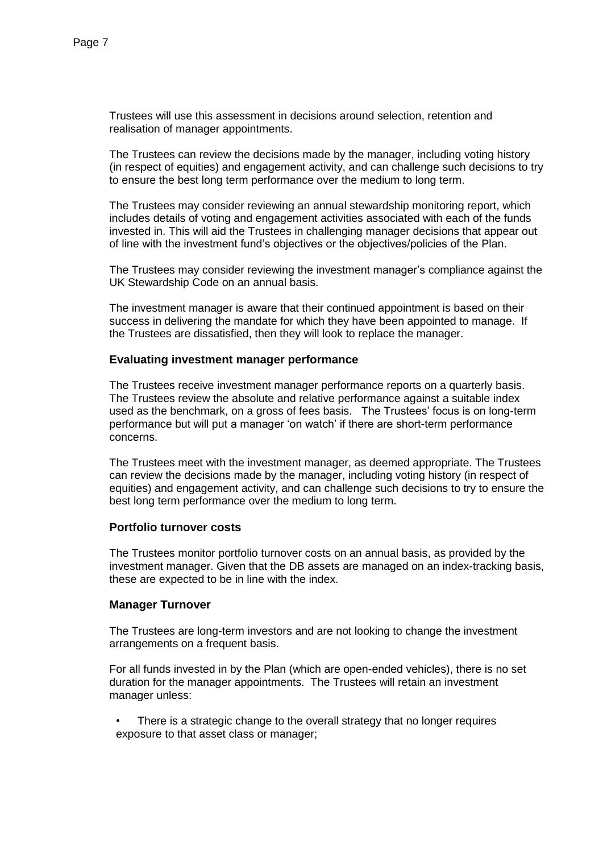Trustees will use this assessment in decisions around selection, retention and realisation of manager appointments.

The Trustees can review the decisions made by the manager, including voting history (in respect of equities) and engagement activity, and can challenge such decisions to try to ensure the best long term performance over the medium to long term.

The Trustees may consider reviewing an annual stewardship monitoring report, which includes details of voting and engagement activities associated with each of the funds invested in. This will aid the Trustees in challenging manager decisions that appear out of line with the investment fund's objectives or the objectives/policies of the Plan.

The Trustees may consider reviewing the investment manager's compliance against the UK Stewardship Code on an annual basis.

The investment manager is aware that their continued appointment is based on their success in delivering the mandate for which they have been appointed to manage. If the Trustees are dissatisfied, then they will look to replace the manager.

## **Evaluating investment manager performance**

The Trustees receive investment manager performance reports on a quarterly basis. The Trustees review the absolute and relative performance against a suitable index used as the benchmark, on a gross of fees basis. The Trustees' focus is on long-term performance but will put a manager 'on watch' if there are short-term performance concerns.

The Trustees meet with the investment manager, as deemed appropriate. The Trustees can review the decisions made by the manager, including voting history (in respect of equities) and engagement activity, and can challenge such decisions to try to ensure the best long term performance over the medium to long term.

# **Portfolio turnover costs**

The Trustees monitor portfolio turnover costs on an annual basis, as provided by the investment manager. Given that the DB assets are managed on an index-tracking basis, these are expected to be in line with the index.

#### **Manager Turnover**

The Trustees are long-term investors and are not looking to change the investment arrangements on a frequent basis.

For all funds invested in by the Plan (which are open-ended vehicles), there is no set duration for the manager appointments. The Trustees will retain an investment manager unless:

There is a strategic change to the overall strategy that no longer requires exposure to that asset class or manager;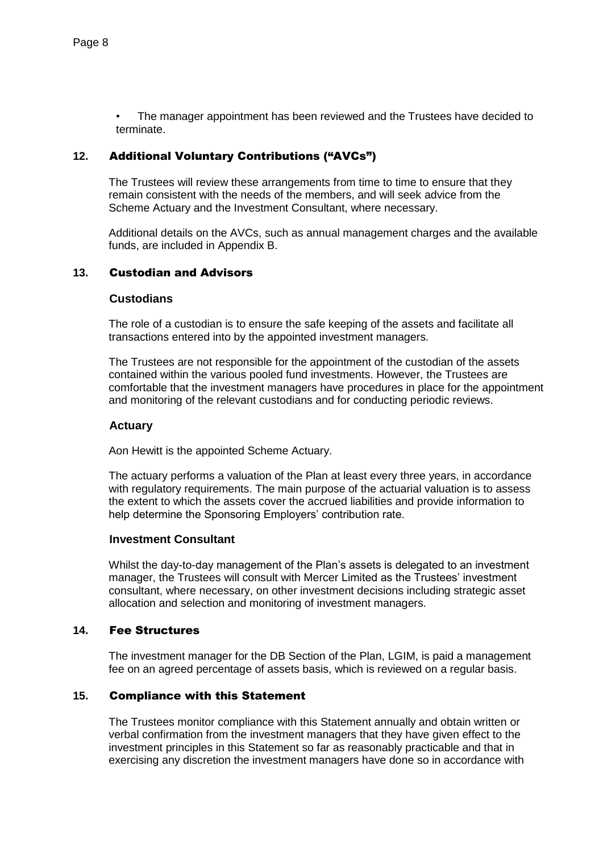• The manager appointment has been reviewed and the Trustees have decided to terminate.

# **12.** Additional Voluntary Contributions ("AVCs")

The Trustees will review these arrangements from time to time to ensure that they remain consistent with the needs of the members, and will seek advice from the Scheme Actuary and the Investment Consultant, where necessary.

Additional details on the AVCs, such as annual management charges and the available funds, are included in Appendix B.

# **13.** Custodian and Advisors

## **Custodians**

The role of a custodian is to ensure the safe keeping of the assets and facilitate all transactions entered into by the appointed investment managers.

The Trustees are not responsible for the appointment of the custodian of the assets contained within the various pooled fund investments. However, the Trustees are comfortable that the investment managers have procedures in place for the appointment and monitoring of the relevant custodians and for conducting periodic reviews.

#### **Actuary**

Aon Hewitt is the appointed Scheme Actuary.

The actuary performs a valuation of the Plan at least every three years, in accordance with regulatory requirements. The main purpose of the actuarial valuation is to assess the extent to which the assets cover the accrued liabilities and provide information to help determine the Sponsoring Employers' contribution rate.

#### **Investment Consultant**

Whilst the day-to-day management of the Plan's assets is delegated to an investment manager, the Trustees will consult with Mercer Limited as the Trustees' investment consultant, where necessary, on other investment decisions including strategic asset allocation and selection and monitoring of investment managers.

# **14.** Fee Structures

The investment manager for the DB Section of the Plan, LGIM, is paid a management fee on an agreed percentage of assets basis, which is reviewed on a regular basis.

# **15.** Compliance with this Statement

The Trustees monitor compliance with this Statement annually and obtain written or verbal confirmation from the investment managers that they have given effect to the investment principles in this Statement so far as reasonably practicable and that in exercising any discretion the investment managers have done so in accordance with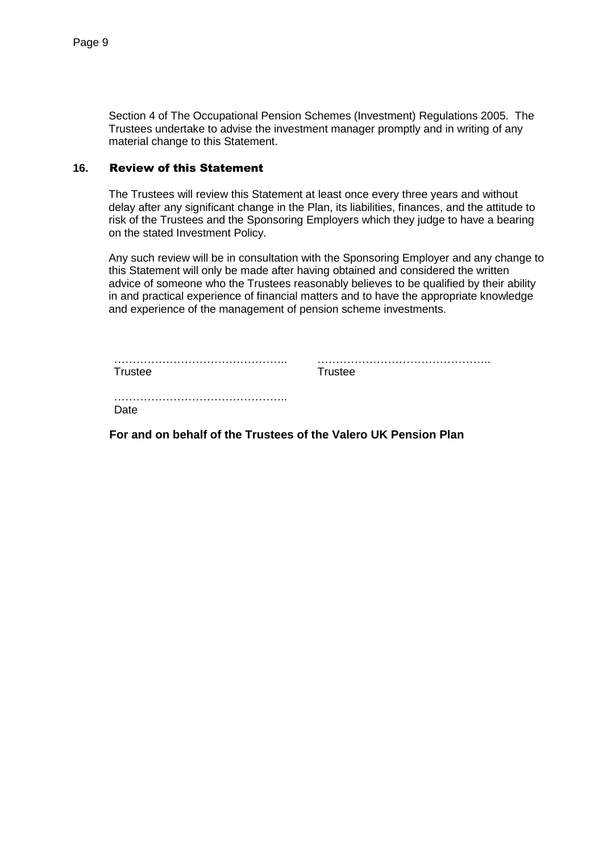Section 4 of The Occupational Pension Schemes (Investment) Regulations 2005. The Trustees undertake to advise the investment manager promptly and in writing of any material change to this Statement.

## **16.** Review of this Statement

The Trustees will review this Statement at least once every three years and without delay after any significant change in the Plan, its liabilities, finances, and the attitude to risk of the Trustees and the Sponsoring Employers which they judge to have a bearing on the stated Investment Policy.

Any such review will be in consultation with the Sponsoring Employer and any change to this Statement will only be made after having obtained and considered the written advice of someone who the Trustees reasonably believes to be qualified by their ability in and practical experience of financial matters and to have the appropriate knowledge and experience of the management of pension scheme investments.

| Trustee | Trustee |
|---------|---------|
| Date    |         |

**For and on behalf of the Trustees of the Valero UK Pension Plan**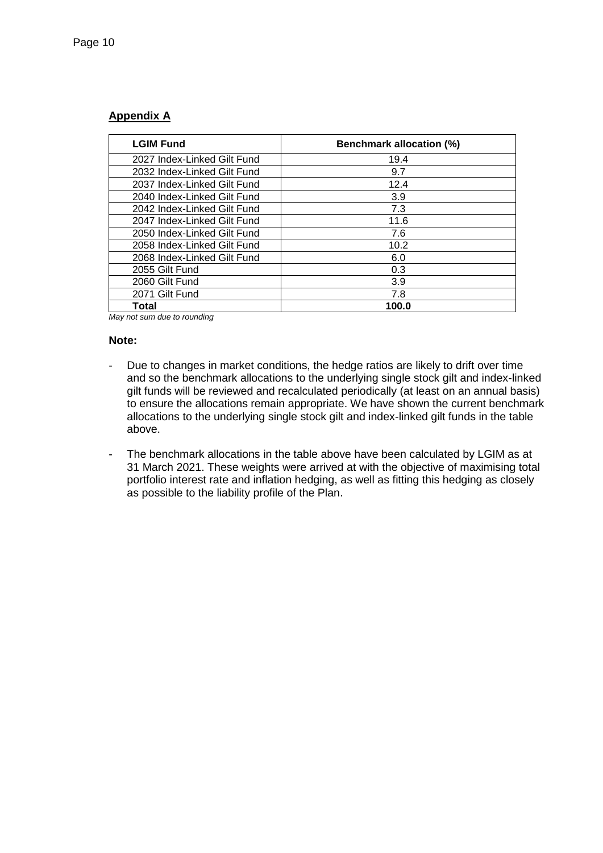# **Appendix A**

| <b>LGIM Fund</b>            | <b>Benchmark allocation (%)</b> |  |
|-----------------------------|---------------------------------|--|
| 2027 Index-Linked Gilt Fund | 19.4                            |  |
| 2032 Index-Linked Gilt Fund | 9.7                             |  |
| 2037 Index-Linked Gilt Fund | 12.4                            |  |
| 2040 Index-Linked Gilt Fund | 3.9                             |  |
| 2042 Index-Linked Gilt Fund | 7.3                             |  |
| 2047 Index-Linked Gilt Fund | 11.6                            |  |
| 2050 Index-Linked Gilt Fund | 7.6                             |  |
| 2058 Index-Linked Gilt Fund | 10.2                            |  |
| 2068 Index-Linked Gilt Fund | 6.0                             |  |
| 2055 Gilt Fund              | 0.3                             |  |
| 2060 Gilt Fund              | 3.9                             |  |
| 2071 Gilt Fund              | 7.8                             |  |
| Total                       | 100.0                           |  |

*May not sum due to rounding*

#### **Note:**

- Due to changes in market conditions, the hedge ratios are likely to drift over time and so the benchmark allocations to the underlying single stock gilt and index-linked gilt funds will be reviewed and recalculated periodically (at least on an annual basis) to ensure the allocations remain appropriate. We have shown the current benchmark allocations to the underlying single stock gilt and index-linked gilt funds in the table above.
- The benchmark allocations in the table above have been calculated by LGIM as at 31 March 2021. These weights were arrived at with the objective of maximising total portfolio interest rate and inflation hedging, as well as fitting this hedging as closely as possible to the liability profile of the Plan.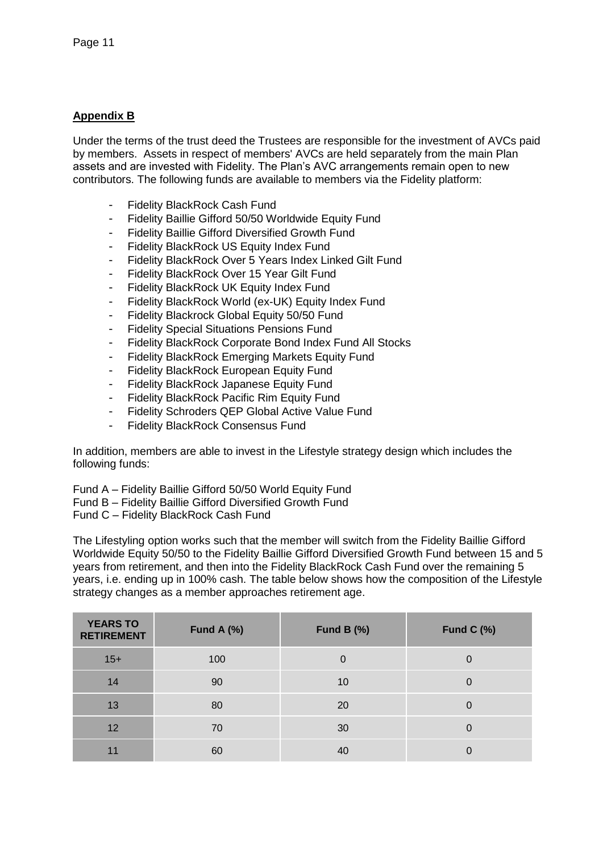# **Appendix B**

Under the terms of the trust deed the Trustees are responsible for the investment of AVCs paid by members. Assets in respect of members' AVCs are held separately from the main Plan assets and are invested with Fidelity. The Plan's AVC arrangements remain open to new contributors. The following funds are available to members via the Fidelity platform:

- Fidelity BlackRock Cash Fund
- Fidelity Baillie Gifford 50/50 Worldwide Equity Fund
- Fidelity Baillie Gifford Diversified Growth Fund
- Fidelity BlackRock US Equity Index Fund
- Fidelity BlackRock Over 5 Years Index Linked Gilt Fund
- Fidelity BlackRock Over 15 Year Gilt Fund
- Fidelity BlackRock UK Equity Index Fund
- Fidelity BlackRock World (ex-UK) Equity Index Fund
- Fidelity Blackrock Global Equity 50/50 Fund
- **Fidelity Special Situations Pensions Fund**
- Fidelity BlackRock Corporate Bond Index Fund All Stocks
- Fidelity BlackRock Emerging Markets Equity Fund
- Fidelity BlackRock European Equity Fund
- Fidelity BlackRock Japanese Equity Fund
- Fidelity BlackRock Pacific Rim Equity Fund
- Fidelity Schroders QEP Global Active Value Fund
- Fidelity BlackRock Consensus Fund

In addition, members are able to invest in the Lifestyle strategy design which includes the following funds:

Fund A – Fidelity Baillie Gifford 50/50 World Equity Fund

Fund B – Fidelity Baillie Gifford Diversified Growth Fund

Fund C – Fidelity BlackRock Cash Fund

The Lifestyling option works such that the member will switch from the Fidelity Baillie Gifford Worldwide Equity 50/50 to the Fidelity Baillie Gifford Diversified Growth Fund between 15 and 5 years from retirement, and then into the Fidelity BlackRock Cash Fund over the remaining 5 years, i.e. ending up in 100% cash. The table below shows how the composition of the Lifestyle strategy changes as a member approaches retirement age.

| <b>YEARS TO</b><br><b>RETIREMENT</b> | Fund A $(\%)$ | Fund B $(\%)$ | Fund $C$ (%) |
|--------------------------------------|---------------|---------------|--------------|
| $15+$                                | 100           |               | 0            |
| 14                                   | 90            | 10            |              |
| 13                                   | 80            | 20            |              |
| 12                                   | 70            | 30            |              |
| 11                                   | 60            | 40            |              |